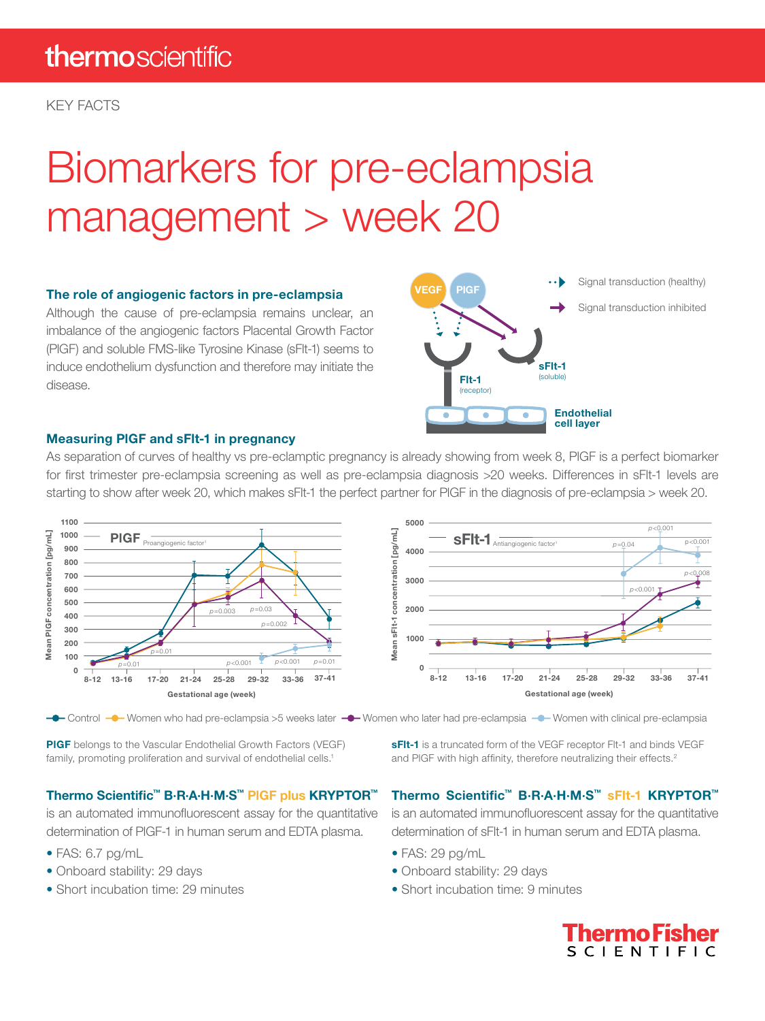KEY FACTS

# Biomarkers for pre-eclampsia management > week 20

#### The role of angiogenic factors in pre-eclampsia

Although the cause of pre-eclampsia remains unclear, an imbalance of the angiogenic factors Placental Growth Factor (PlGF) and soluble FMS-like Tyrosine Kinase (sFlt-1) seems to induce endothelium dysfunction and therefore may initiate the disease.



#### Measuring PlGF and sFlt-1 in pregnancy

As separation of curves of healthy vs pre-eclamptic pregnancy is already showing from week 8, PlGF is a perfect biomarker for first trimester pre-eclampsia screening as well as pre-eclampsia diagnosis >20 weeks. Differences in sFlt-1 levels are starting to show after week 20, which makes sFlt-1 the perfect partner for PlGF in the diagnosis of pre-eclampsia > week 20.



PIGF belongs to the Vascular Endothelial Growth Factors (VEGF) family, promoting proliferation and survival of endothelial cells.<sup>1</sup>

Thermo Scientific™ B·R·A·H·M·S™ PlGF plus KRYPTOR™

is an automated immunofluorescent assay for the quantitative determination of PlGF-1 in human serum and EDTA plasma.

- FAS: 6.7 pg/mL
- Onboard stability: 29 days
- Short incubation time: 29 minutes

sFIt-1 is a truncated form of the VEGF receptor FIt-1 and binds VEGF and PIGF with high affinity, therefore neutralizing their effects.<sup>2</sup>

#### Thermo Scientific™ B·R·A·H·M·S™ sFlt-1 KRYPTOR™

is an automated immunofluorescent assay for the quantitative determination of sFlt-1 in human serum and EDTA plasma.

- FAS: 29 pg/mL
- Onboard stability: 29 days
- Short incubation time: 9 minutes